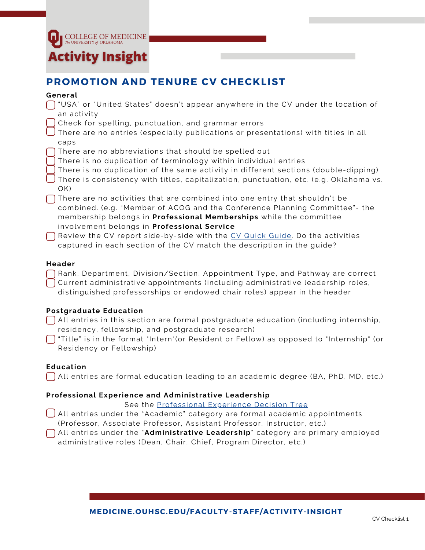

## **PROMOTION AND TENURE CV CHECKLIST**

#### **General**

- $\bigcap$  "USA" or "United States" doesn't appear anywhere in the CV under the location of an activity
- Check for spelling, punctuation, and grammar errors
- There are no entries (especially publications or presentations) with titles in all caps
	- There are no abbreviations that should be spelled out
- There is no duplication of terminology within individual entries
- There is no duplication of the same activity in different sections (double-dipping)
- There is consistency with titles, capitalization, punctuation, etc. (e.g. Oklahoma vs. OK)
- There are no activities that are combined into one entry that shouldn't be combined. (e.g. "Member of ACOG and the Conference Planning Committee" - the membership belongs in **Professional Memberships** while the committee involvement belongs in **Professional Service**
- $\bigcap$  Review the CV report side-by-side with the CV Quick [Guide.](https://medicine.ouhsc.edu/Portals/1365/Assets/Curriculum%20Vitae%20Medicine%20Quick%20Guide%20and%20Tips%205_21.pdf) Do the activities captured in each section of the CV match the description in the guide?

#### **Header**

- Rank, Department, Division/Section, Appointment Type, and Pathway are correct
- Current administrative appointments (including administrative leadership roles,
- distinguished professorships or endowed chair roles) appear in the header

#### **Postgraduate Education**

- $\bigcap$  All entries in this section are formal postgraduate education (including internship, residency, fellowship, and postgraduate research)
- $\bigcap$  "Title" is in the format "Intern"(or Resident or Fellow) as opposed to "Internship" (or Residency or Fellowship)

#### **Education**

All entries are formal education leading to an academic degree (BA, PhD, MD, etc.)

#### **Professional Experience and Administrative Leadership**

See the [Professional](https://medicine.ouhsc.edu/Portals/1365/Assets/Professional%20Experience%20Decision%20Tree%205_21.pdf) Experience Decision Tree

- All entries under the "Academic" category are formal academic appointments (Professor, Associate Professor, Assistant Professor, Instructor, etc.)
- All entries under the "**Administrative Leadership**" category are primary employed administrative roles (Dean, Chair, Chief, Program Director, etc.)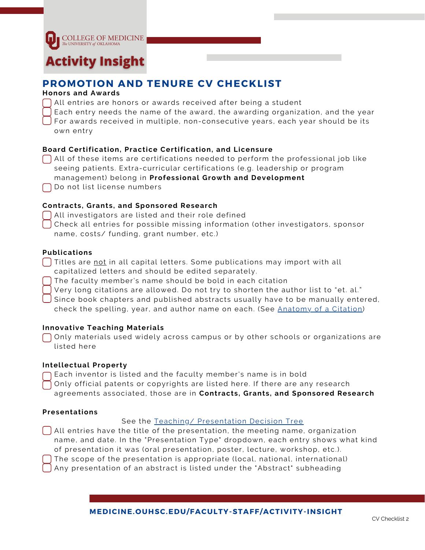

## **Activity Insight**

## **PROMOTION AND TENURE CV CHECKLIST**

#### **Honors and Awards**

- All entries are honors or awards received after being a student
- Each entry needs the name of the award, the awarding organization, and the year
- For awards received in multiple, non-consecutive years, each year should be its own entry

#### **Board Certification, Practice Certification, and Licensure**

- All of these items are certifications needed to perform the professional job like seeing patients. Extra-curricular certifications (e.g. leadership or program management) belong in **Professional Growth and Development**
- Do not list license numbers

#### **Contracts, Grants, and Sponsored Research**

- All investigators are listed and their role defined
- Check all entries for possible missing information (other investigators, sponsor name, costs/ funding, grant number, etc.)

#### **Publications**

- Titles are <u>not</u> in all capital letters. Some publications may import with all capitalized letters and should be edited separately.
- The faculty member's name should be bold in each citation
- Very long citations are allowed. Do not try to shorten the author list to "et. al."
- Since book chapters and published abstracts usually have to be manually entered, check the spelling, year, and author name on each. (See [Anatomy](https://medicine.ouhsc.edu/Portals/1365/Assets/Citations%20Handout.pdf) of a Citation)

#### **Innovative Teaching Materials**

Only materials used widely across campus or by other schools or organizations are listed here

#### **Intellectual Property**

- Each inventor is listed and the faculty member's name is in bold
- Only official patents or copyrights are listed here. If there are any research agreements associated, those are in **Contracts, Grants, and Sponsored Research**

#### **Presentations**

#### See the Teaching/ [Presentation](https://medicine.ouhsc.edu/Portals/1365/Assets/Teaching%20%26%20Presenation%20Decision%20Tree%205_21.pdf) Decision Tree

- All entries have the title of the presentation, the meeting name, organization name, and date. In the "Presentation Type" dropdown, each entry shows what kind of presentation it was (oral presentation, poster, lecture, workshop, etc.). The scope of the presentation is appropriate (local, national, international)
- Any presentation of an abstract is listed under the "Abstract" subheading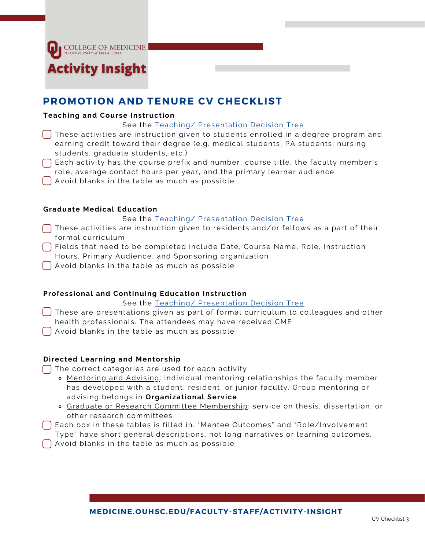**COLLEGE OF MEDICINE** 

# **Activity Insight**

## **PROMOTION AND TENURE CV CHECKLIST**

#### **Teaching and Course Instruction**

#### See the Teaching/ [Presentation](https://medicine.ouhsc.edu/Portals/1365/Assets/Teaching%20%26%20Presenation%20Decision%20Tree%205_21.pdf) Decision Tree

- $\bigcap$  These activities are instruction given to students enrolled in a degree program and earning credit toward their degree (e.g. medical students, PA students, nursing students, graduate students, etc.)
- $\bigcap$  Each activity has the course prefix and number, course title, the faculty member's role, average contact hours per year, and the primary learner audience
- Avoid blanks in the table as much as possible

#### **Graduate Medical Education**

#### See the Teaching/ [Presentation](https://medicine.ouhsc.edu/Portals/1365/Assets/Teaching%20%26%20Presenation%20Decision%20Tree%205_21.pdf) Decision Tree

- $\bigcap$  These activities are instruction given to residents and/or fellows as a part of their formal curriculum
- Fields that need to be completed include Date, Course Name, Role, Instruction Hours, Primary Audience, and Sponsoring organization
- Avoid blanks in the table as much as possible

#### **Professional and Continuing Education Instruction**

See the Teaching/ [Presentation](https://medicine.ouhsc.edu/Portals/1365/Assets/Teaching%20%26%20Presenation%20Decision%20Tree%205_21.pdf) Decision Tree

- These are presentations given as part of formal curriculum to colleagues and other health professionals. The attendees may have received CME.
- $\bigcap$  Avoid blanks in the table as much as possible

#### **Directed Learning and Mentorship**

The correct categories are used for each activity

- o Mentoring and Advising: individual mentoring relationships the faculty member has developed with a student, resident, or junior faculty. Group mentoring or advising belongs in **Organizational Service**
- o Graduate or Research Committee Membership: service on thesis, dissertation, or other research committees
- Each box in these tables is filled in. "Mentee Outcomes" and "Role/Involvement Type" have short general descriptions, not long narratives or learning outcomes.
- $\bigcap$  Avoid blanks in the table as much as possible